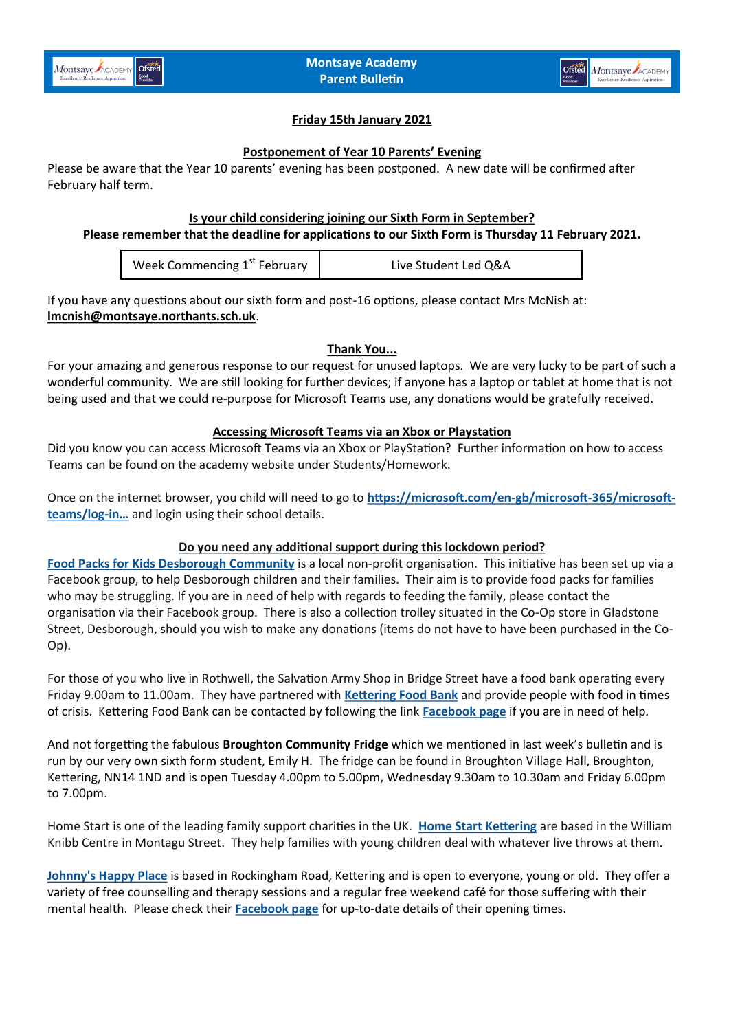

# **Friday 15th January 2021**

#### **Postponement of Year 10 Parents' Evening**

Please be aware that the Year 10 parents' evening has been postponed. A new date will be confirmed after February half term.

#### **Is your child considering joining our Sixth Form in September?**

# **Please remember that the deadline for applications to our Sixth Form is Thursday 11 February 2021.**

| Week Commencing 1 <sup>st</sup> February | Live Student Led Q&A |
|------------------------------------------|----------------------|
|------------------------------------------|----------------------|

If you have any questions about our sixth form and post-16 options, please contact Mrs McNish at: **[lmcnish@montsaye.northants.sch.uk](mailto:lmcnish@montsaye.northants.sch.uk)**.

#### **Thank You...**

For your amazing and generous response to our request for unused laptops. We are very lucky to be part of such a wonderful community. We are still looking for further devices; if anyone has a laptop or tablet at home that is not being used and that we could re-purpose for Microsoft Teams use, any donations would be gratefully received.

## **Accessing Microsoft Teams via an Xbox or Playstation**

Did you know you can access Microsoft Teams via an Xbox or PlayStation? Further information on how to access Teams can be found on the academy website under Students/Homework.

Once on the internet browser, you child will need to go to **[https://microsoft.com/en](https://t.co/F4lW4i9PxD?amp=1)-gb/microsoft-365/microsoft[teams/log](https://t.co/F4lW4i9PxD?amp=1)-in…** and login using their school details.

#### **Do you need any additional support during this lockdown period?**

**[Food Packs for Kids Desborough Community](Hello%20my%20name%20is%20Janine%20Andrews%20and%20just%20before%20Christmas%20I%20set%20up%20this%20food%20bank%20for%20the%20children%20and%20their%20families,I’m%20just%20enquiring%20if%20you%20would%20kindly%20post%20our%20page%20on%20your%20website)** is a local non-profit organisation. This initiative has been set up via a Facebook group, to help Desborough children and their families. Their aim is to provide food packs for families who may be struggling. If you are in need of help with regards to feeding the family, please contact the organisation via their Facebook group. There is also a collection trolley situated in the Co-Op store in Gladstone Street, Desborough, should you wish to make any donations (items do not have to have been purchased in the Co-Op).

For those of you who live in Rothwell, the Salvation Army Shop in Bridge Street have a food bank operating every Friday 9.00am to 11.00am. They have partnered with **[Kettering Food Bank](https://www.ketteringfoodbank.org/pages/about-us)** and provide people with food in times of crisis. Kettering Food Bank can be contacted by following the link **[Facebook page](https://www.facebook.com/ketteringfoodbank/)** if you are in need of help.

And not forgetting the fabulous **Broughton Community Fridge** which we mentioned in last week's bulletin and is run by our very own sixth form student, Emily H. The fridge can be found in Broughton Village Hall, Broughton, Kettering, NN14 1ND and is open Tuesday 4.00pm to 5.00pm, Wednesday 9.30am to 10.30am and Friday 6.00pm to 7.00pm.

Home Start is one of the leading family support charities in the UK. **[Home Start Kettering](https://homestartkettering.org.uk/)** are based in the William Knibb Centre in Montagu Street. They help families with young children deal with whatever live throws at them.

**[Johnny's Happy Place](https://www.johnnyshappyplace.com/what-is-jhp)** is based in Rockingham Road, Kettering and is open to everyone, young or old. They offer a variety of free counselling and therapy sessions and a regular free weekend café for those suffering with their mental health. Please check their **[Facebook page](https://www.facebook.com/johnnyshappyplace)** for up-to-date details of their opening times.